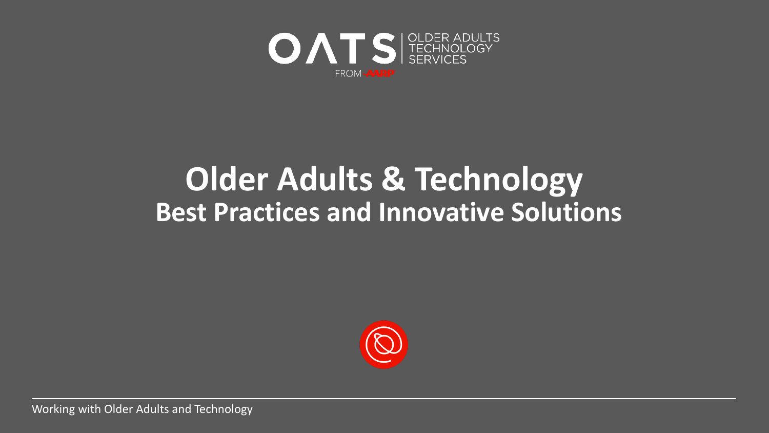

## **Older Adults & Technology Best Practices and Innovative Solutions**

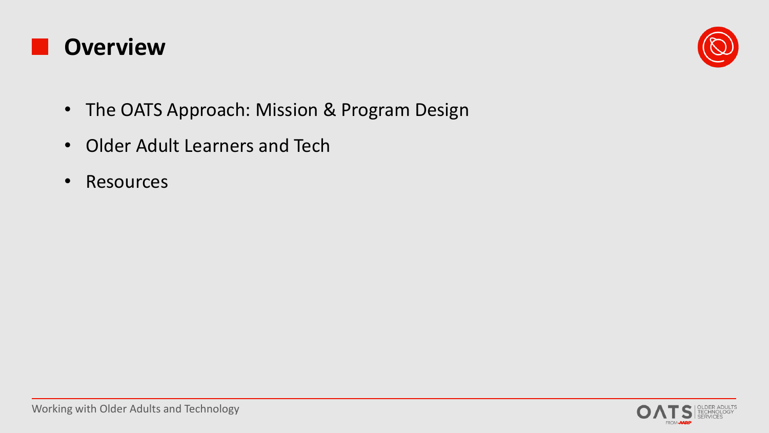



- The OATS Approach: Mission & Program Design
- Older Adult Learners and Tech
- Resources

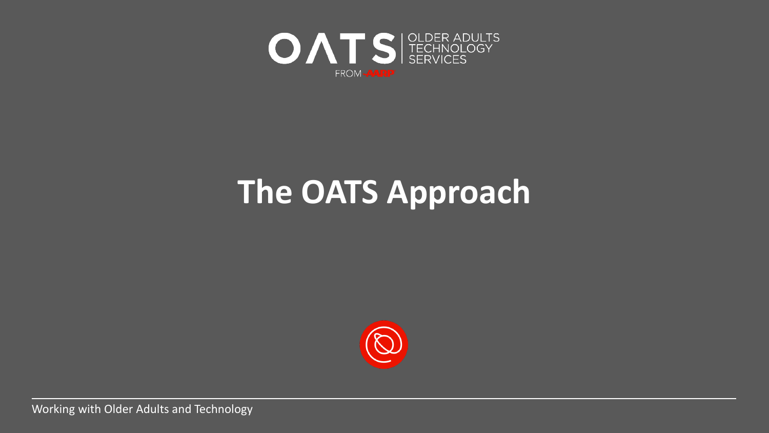

# **The OATS Approach**

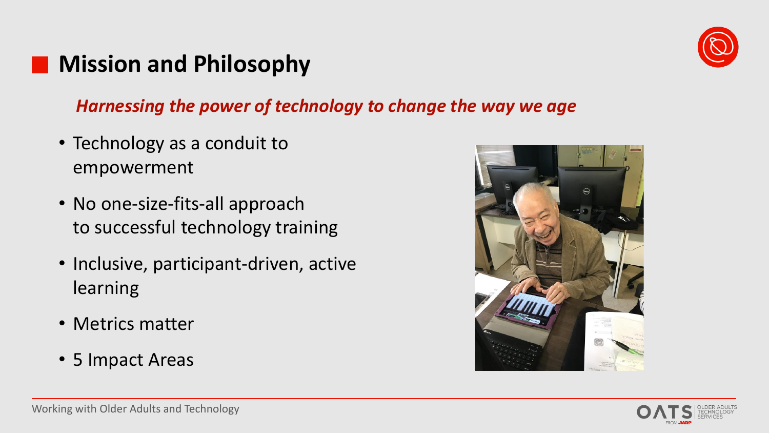## **Mission and Philosophy**

#### *Harnessing the power of technology to change the way we age*

- Technology as a conduit to empowerment
- No one-size-fits-all approach to successful technology training
- Inclusive, participant-driven, active learning
- Metrics matter
- 5 Impact Areas





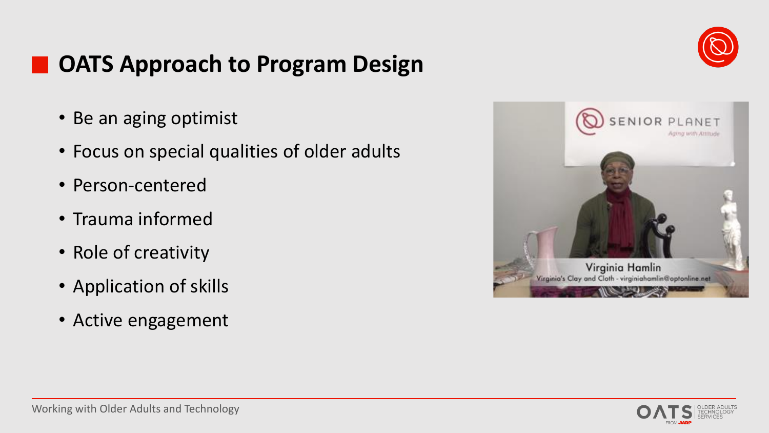## **OATS Approach to Program Design**

- Be an aging optimist
- Focus on special qualities of older adults
- Person-centered
- Trauma informed
- Role of creativity
- Application of skills
- Active engagement





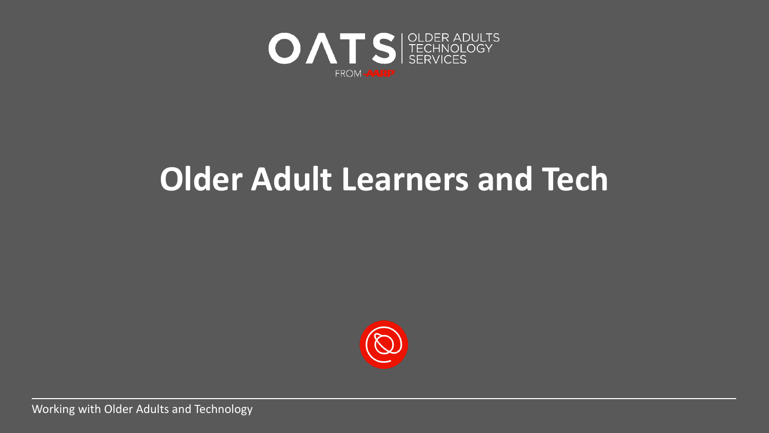

# **Older Adult Learners and Tech**

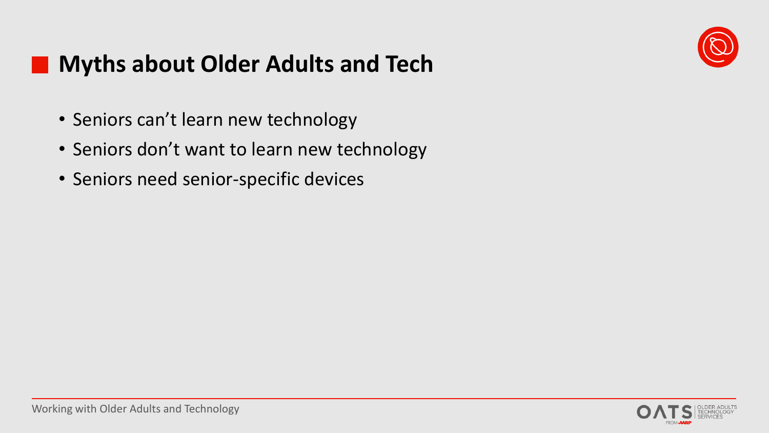

## **Myths about Older Adults and Tech**

- Seniors can't learn new technology
- Seniors don't want to learn new technology
- Seniors need senior-specific devices

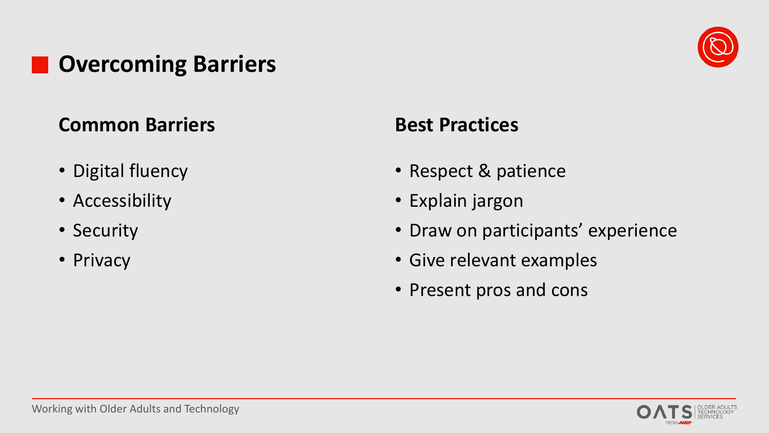## **Overcoming Barriers**



- Digital fluency
- Accessibility
- Security
- Privacy

#### **Best Practices**

- Respect & patience
- Explain jargon
- Draw on participants' experience
- Give relevant examples
- Present pros and cons





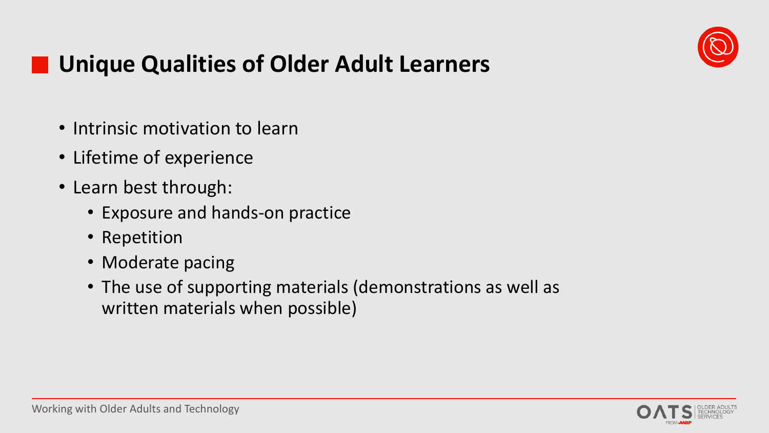

## **Unique Qualities of Older Adult Learners**

- Intrinsic motivation to learn
- Lifetime of experience
- Learn best through:
	- Exposure and hands-on practice
	- Repetition
	- Moderate pacing
	- The use of supporting materials (demonstrations as well as written materials when possible)

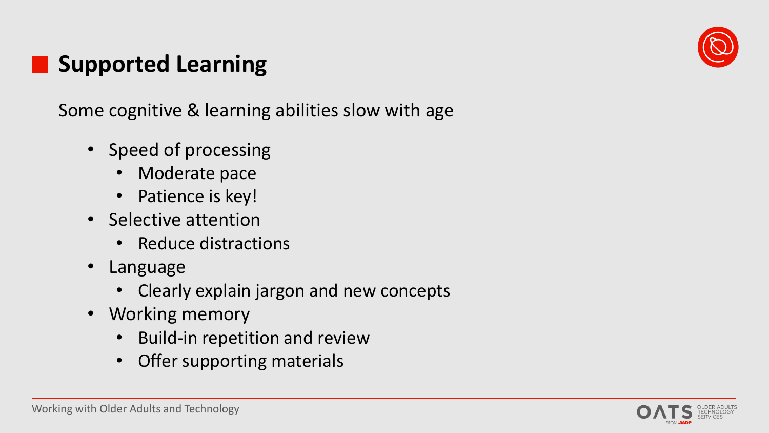## **Supported Learning**

Some cognitive & learning abilities slow with age

- Speed of processing
	- Moderate pace
	- Patience is key!
- Selective attention
	- Reduce distractions
- Language
	- Clearly explain jargon and new concepts
- Working memory
	- Build-in repetition and review
	- Offer supporting materials



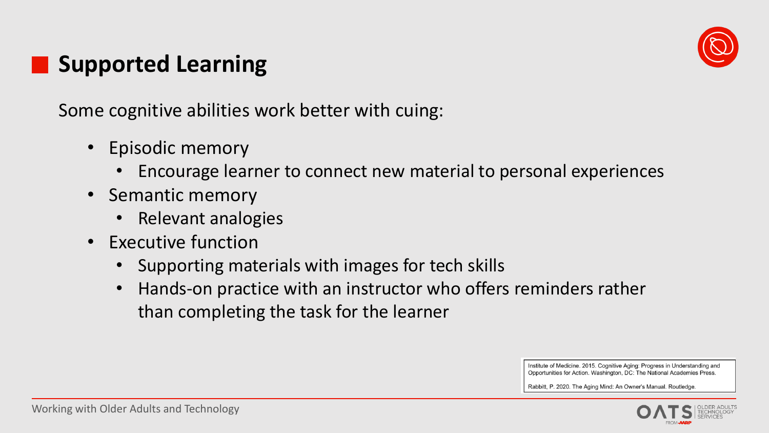

## **Supported Learning**

Some cognitive abilities work better with cuing:

- Episodic memory
	- Encourage learner to connect new material to personal experiences
- Semantic memory
	- Relevant analogies
- Executive function
	- Supporting materials with images for tech skills
	- Hands-on practice with an instructor who offers reminders rather than completing the task for the learner

Institute of Medicine. 2015. Cognitive Aging: Progress in Understanding and Opportunities for Action. Washington, DC: The National Academies Press.

Rabbitt, P. 2020. The Aging Mind: An Owner's Manual. Routledge

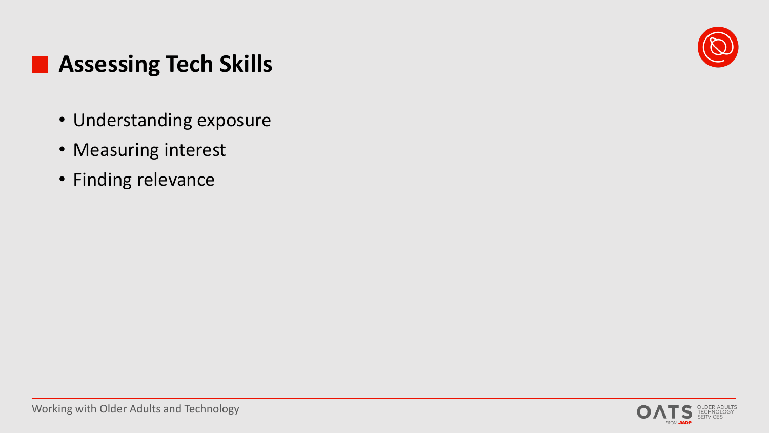

## **Assessing Tech Skills**

- Understanding exposure
- Measuring interest
- Finding relevance

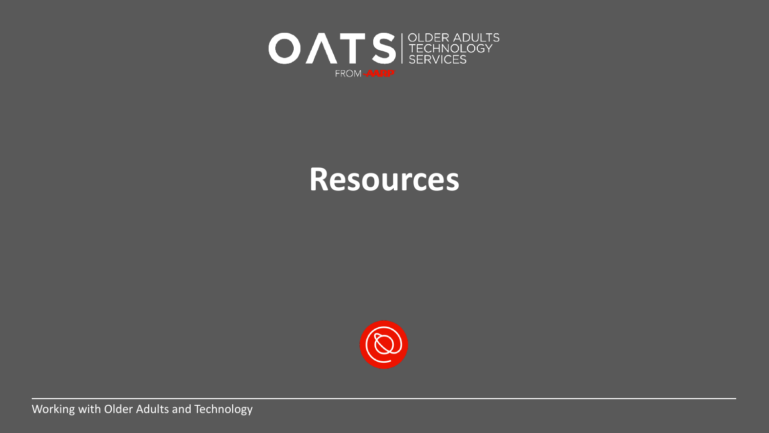

## **Resources**

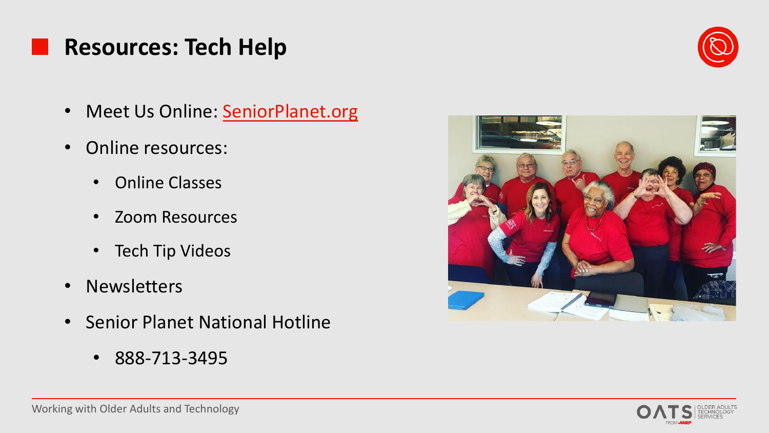### **Resources: Tech Help**

- Meet Us Online: [SeniorPlanet.org](https://seniorplanet.org/)
- Online resources:
	- Online Classes
	- Zoom Resources
	- Tech Tip Videos
- Newsletters
- Senior Planet National Hotline
	- 888-713-3495